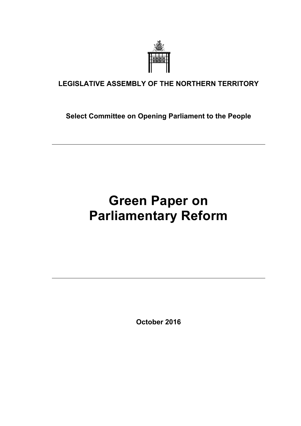

### **LEGISLATIVE ASSEMBLY OF THE NORTHERN TERRITORY**

**Select Committee on Opening Parliament to the People** 

# **Green Paper on Parliamentary Reform**

**October 2016**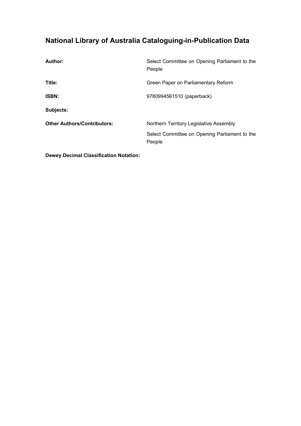### **National Library of Australia Cataloguing-in-Publication Data**

| <b>Author:</b>                     | Select Committee on Opening Parliament to the<br>People |
|------------------------------------|---------------------------------------------------------|
| Title:                             | Green Paper on Parliamentary Reform                     |
| <b>ISBN:</b>                       | 9780994561510 (paperback)                               |
| Subjects:                          |                                                         |
| <b>Other Authors/Contributors:</b> | Northern Territory Legislative Assembly                 |
|                                    | Select Committee on Opening Parliament to the<br>People |

**Dewey Decimal Classification Notation:**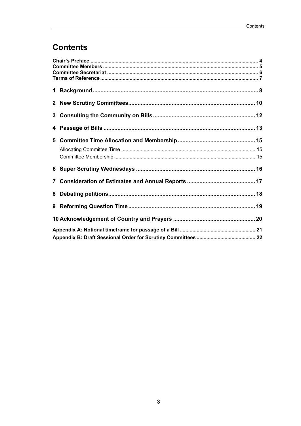# **Contents**

| $\mathbf{7}$ |  |  |  |
|--------------|--|--|--|
| 8            |  |  |  |
|              |  |  |  |
|              |  |  |  |
|              |  |  |  |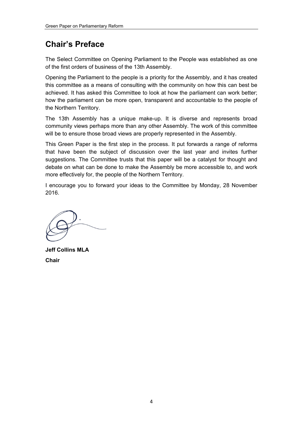# **Chair's Preface**

The Select Committee on Opening Parliament to the People was established as one of the first orders of business of the 13th Assembly.

Opening the Parliament to the people is a priority for the Assembly, and it has created this committee as a means of consulting with the community on how this can best be achieved. It has asked this Committee to look at how the parliament can work better; how the parliament can be more open, transparent and accountable to the people of the Northern Territory.

The 13th Assembly has a unique make-up. It is diverse and represents broad community views perhaps more than any other Assembly. The work of this committee will be to ensure those broad views are properly represented in the Assembly.

This Green Paper is the first step in the process. It put forwards a range of reforms that have been the subject of discussion over the last year and invites further suggestions. The Committee trusts that this paper will be a catalyst for thought and debate on what can be done to make the Assembly be more accessible to, and work more effectively for, the people of the Northern Territory.

I encourage you to forward your ideas to the Committee by Monday, 28 November 2016.

**Jeff Collins MLA Chair**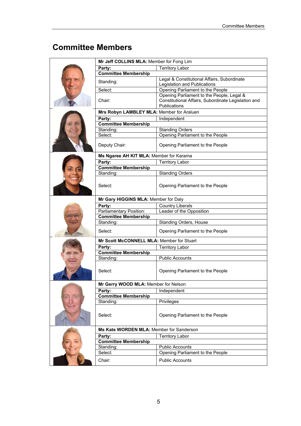# **Committee Members**

| Mr Jeff COLLINS MLA: Member for Fong Lim  |                                                                                                                  |  |
|-------------------------------------------|------------------------------------------------------------------------------------------------------------------|--|
| Party:                                    | <b>Territory Labor</b>                                                                                           |  |
| <b>Committee Membership</b>               |                                                                                                                  |  |
| Standing:                                 | Legal & Constitutional Affairs, Subordinate<br>Legislation and Publications                                      |  |
| Select:                                   | Opening Parliament to the People                                                                                 |  |
| Chair:                                    | Opening Parliament to the People, Legal &<br>Constitutional Affairs, Subordinate Legislation and<br>Publications |  |
| Mrs Robyn LAMBLEY MLA: Member for Araluen |                                                                                                                  |  |
| Party:                                    | Independent                                                                                                      |  |
| <b>Committee Membership</b>               |                                                                                                                  |  |
| Standing:                                 | <b>Standing Orders</b>                                                                                           |  |
| Select:                                   | Opening Parliament to the People                                                                                 |  |
| Deputy Chair:                             | Opening Parliament to the People                                                                                 |  |
| Ms Ngaree AH KIT MLA: Member for Karama   |                                                                                                                  |  |
| Party:                                    | <b>Territory Labor</b>                                                                                           |  |
| <b>Committee Membership</b>               |                                                                                                                  |  |
| Standing:                                 | <b>Standing Orders</b>                                                                                           |  |
| Select:                                   | Opening Parliament to the People                                                                                 |  |
| Mr Gary HIGGINS MLA: Member for Daly      |                                                                                                                  |  |
| Party:                                    | Country Liberals                                                                                                 |  |
| Parliamentary Position:                   | Leader of the Opposition                                                                                         |  |
| <b>Committee Membership</b>               |                                                                                                                  |  |
| Standing:                                 | Standing Orders, House                                                                                           |  |
| Select:                                   | Opening Parliament to the People                                                                                 |  |
| Mr Scott McCONNELL MLA: Member for Stuart |                                                                                                                  |  |
| Party:                                    | <b>Territory Labor</b>                                                                                           |  |
| <b>Committee Membership</b>               |                                                                                                                  |  |
| Standing:                                 | <b>Public Accounts</b>                                                                                           |  |
| Select:                                   | Opening Parliament to the People                                                                                 |  |
| Mr Gerry WOOD MLA: Member for Nelson      |                                                                                                                  |  |
| Party:                                    | Independent                                                                                                      |  |
| <b>Committee Membership</b>               |                                                                                                                  |  |
| Standing:                                 | Privileges                                                                                                       |  |
|                                           |                                                                                                                  |  |
| Select:                                   | Opening Parliament to the People                                                                                 |  |
| Ms Kate WORDEN MLA: Member for Sanderson  |                                                                                                                  |  |
| Party:                                    | <b>Territory Labor</b>                                                                                           |  |
| <b>Committee Membership</b>               |                                                                                                                  |  |
| Standing:                                 | <b>Public Accounts</b>                                                                                           |  |
| Select:                                   | Opening Parliament to the People                                                                                 |  |
| Chair:                                    | <b>Public Accounts</b>                                                                                           |  |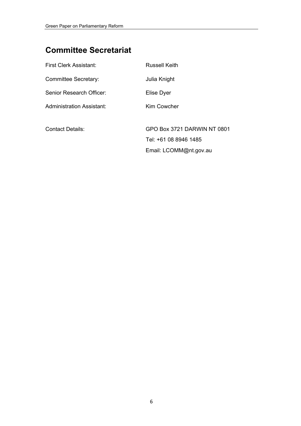# **Committee Secretariat**

| First Clerk Assistant:           | <b>Russell Keith</b>        |
|----------------------------------|-----------------------------|
| Committee Secretary:             | Julia Knight                |
| Senior Research Officer:         | Elise Dyer                  |
| <b>Administration Assistant:</b> | Kim Cowcher                 |
|                                  |                             |
| <b>Contact Details:</b>          | GPO Box 3721 DARWIN NT 0801 |
|                                  | Tel: +61 08 8946 1485       |
|                                  | Email: LCOMM@nt.gov.au      |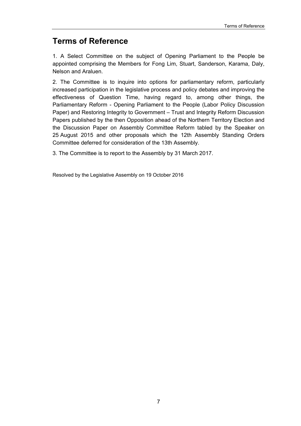### **Terms of Reference**

1. A Select Committee on the subject of Opening Parliament to the People be appointed comprising the Members for Fong Lim, Stuart, Sanderson, Karama, Daly, Nelson and Araluen.

2. The Committee is to inquire into options for parliamentary reform, particularly increased participation in the legislative process and policy debates and improving the effectiveness of Question Time, having regard to, among other things, the Parliamentary Reform - Opening Parliament to the People (Labor Policy Discussion Paper) and Restoring Integrity to Government – Trust and Integrity Reform Discussion Papers published by the then Opposition ahead of the Northern Territory Election and the Discussion Paper on Assembly Committee Reform tabled by the Speaker on 25 August 2015 and other proposals which the 12th Assembly Standing Orders Committee deferred for consideration of the 13th Assembly.

3. The Committee is to report to the Assembly by 31 March 2017.

Resolved by the Legislative Assembly on 19 October 2016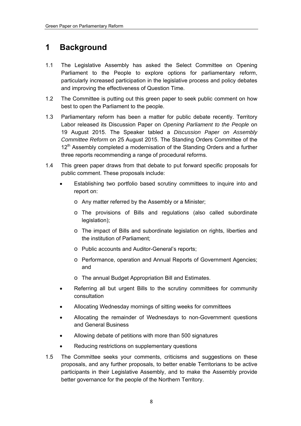### **1 Background**

- 1.1 The Legislative Assembly has asked the Select Committee on Opening Parliament to the People to explore options for parliamentary reform, particularly increased participation in the legislative process and policy debates and improving the effectiveness of Question Time.
- 1.2 The Committee is putting out this green paper to seek public comment on how best to open the Parliament to the people.
- 1.3 Parliamentary reform has been a matter for public debate recently. Territory Labor released its Discussion Paper on *Opening Parliament to the People* on 19 August 2015. The Speaker tabled a *Discussion Paper on Assembly Committee Reform* on 25 August 2015. The Standing Orders Committee of the 12<sup>th</sup> Assembly completed a modernisation of the Standing Orders and a further three reports recommending a range of procedural reforms.
- 1.4 This green paper draws from that debate to put forward specific proposals for public comment. These proposals include:
	- Establishing two portfolio based scrutiny committees to inquire into and report on:
		- o Any matter referred by the Assembly or a Minister;
		- o The provisions of Bills and regulations (also called subordinate legislation);
		- o The impact of Bills and subordinate legislation on rights, liberties and the institution of Parliament;
		- o Public accounts and Auditor-General's reports;
		- o Performance, operation and Annual Reports of Government Agencies; and
		- o The annual Budget Appropriation Bill and Estimates.
	- Referring all but urgent Bills to the scrutiny committees for community consultation
	- Allocating Wednesday mornings of sitting weeks for committees
	- Allocating the remainder of Wednesdays to non-Government questions and General Business
	- Allowing debate of petitions with more than 500 signatures
	- Reducing restrictions on supplementary questions
- 1.5 The Committee seeks your comments, criticisms and suggestions on these proposals, and any further proposals, to better enable Territorians to be active participants in their Legislative Assembly, and to make the Assembly provide better governance for the people of the Northern Territory.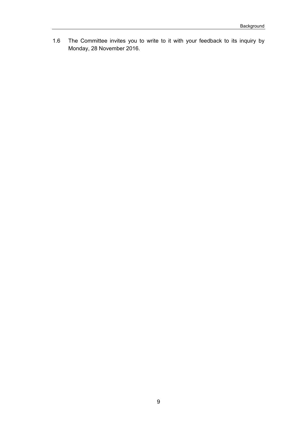1.6 The Committee invites you to write to it with your feedback to its inquiry by Monday, 28 November 2016.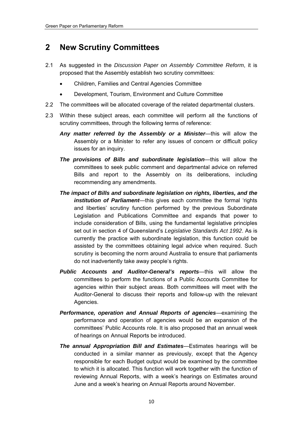### **2 New Scrutiny Committees**

- 2.1 As suggested in the *Discussion Paper on Assembly Committee Reform*, it is proposed that the Assembly establish two scrutiny committees:
	- Children, Families and Central Agencies Committee
	- Development, Tourism, Environment and Culture Committee
- 2.2 The committees will be allocated coverage of the related departmental clusters.
- 2.3 Within these subject areas, each committee will perform all the functions of scrutiny committees, through the following terms of reference:
	- *Any matter referred by the Assembly or a Minister*—this will allow the Assembly or a Minister to refer any issues of concern or difficult policy issues for an inquiry.
	- *The provisions of Bills and subordinate legislation*—this will allow the committees to seek public comment and departmental advice on referred Bills and report to the Assembly on its deliberations, including recommending any amendments.
	- *The impact of Bills and subordinate legislation on rights, liberties, and the institution of Parliament*—this gives each committee the formal 'rights and liberties' scrutiny function performed by the previous Subordinate Legislation and Publications Committee and expands that power to include consideration of Bills, using the fundamental legislative principles set out in section 4 of Queensland's *Legislative Standards Act 1992*. As is currently the practice with subordinate legislation, this function could be assisted by the committees obtaining legal advice when required. Such scrutiny is becoming the norm around Australia to ensure that parliaments do not inadvertently take away people's rights.
	- *Public Accounts and Auditor-General's reports*—this will allow the committees to perform the functions of a Public Accounts Committee for agencies within their subject areas. Both committees will meet with the Auditor-General to discuss their reports and follow-up with the relevant Agencies.
	- *Performance, operation and Annual Reports of agencies*—examining the performance and operation of agencies would be an expansion of the committees' Public Accounts role. It is also proposed that an annual week of hearings on Annual Reports be introduced.
	- *The annual Appropriation Bill and Estimates*—Estimates hearings will be conducted in a similar manner as previously, except that the Agency responsible for each Budget output would be examined by the committee to which it is allocated. This function will work together with the function of reviewing Annual Reports, with a week's hearings on Estimates around June and a week's hearing on Annual Reports around November.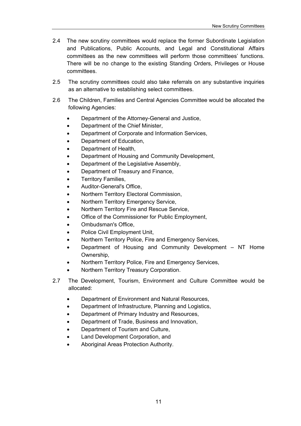- 2.4 The new scrutiny committees would replace the former Subordinate Legislation and Publications, Public Accounts, and Legal and Constitutional Affairs committees as the new committees will perform those committees' functions. There will be no change to the existing Standing Orders, Privileges or House committees.
- 2.5 The scrutiny committees could also take referrals on any substantive inquiries as an alternative to establishing select committees.
- 2.6 The Children, Families and Central Agencies Committee would be allocated the following Agencies:
	- Department of the Attorney-General and Justice,
	- Department of the Chief Minister,
	- Department of Corporate and Information Services,
	- Department of Education,
	- Department of Health,
	- Department of Housing and Community Development,
	- Department of the Legislative Assembly,
	- Department of Treasury and Finance,
	- Territory Families,
	- Auditor-General's Office,
	- Northern Territory Electoral Commission,
	- Northern Territory Emergency Service,
	- Northern Territory Fire and Rescue Service,
	- Office of the Commissioner for Public Employment,
	- Ombudsman's Office,
	- Police Civil Employment Unit,
	- Northern Territory Police, Fire and Emergency Services,
	- Department of Housing and Community Development NT Home Ownership,
	- Northern Territory Police, Fire and Emergency Services,
	- Northern Territory Treasury Corporation.
- 2.7 The Development, Tourism, Environment and Culture Committee would be allocated:
	- Department of Environment and Natural Resources,
	- Department of Infrastructure, Planning and Logistics,
	- Department of Primary Industry and Resources,
	- Department of Trade, Business and Innovation,
	- Department of Tourism and Culture,
	- Land Development Corporation, and
	- Aboriginal Areas Protection Authority.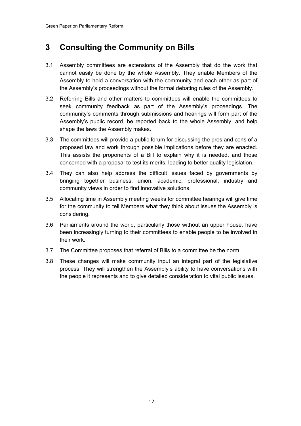### **3 Consulting the Community on Bills**

- 3.1 Assembly committees are extensions of the Assembly that do the work that cannot easily be done by the whole Assembly. They enable Members of the Assembly to hold a conversation with the community and each other as part of the Assembly's proceedings without the formal debating rules of the Assembly.
- 3.2 Referring Bills and other matters to committees will enable the committees to seek community feedback as part of the Assembly's proceedings. The community's comments through submissions and hearings will form part of the Assembly's public record, be reported back to the whole Assembly, and help shape the laws the Assembly makes.
- 3.3 The committees will provide a public forum for discussing the pros and cons of a proposed law and work through possible implications before they are enacted. This assists the proponents of a Bill to explain why it is needed, and those concerned with a proposal to test its merits, leading to better quality legislation.
- 3.4 They can also help address the difficult issues faced by governments by bringing together business, union, academic, professional, industry and community views in order to find innovative solutions.
- 3.5 Allocating time in Assembly meeting weeks for committee hearings will give time for the community to tell Members what they think about issues the Assembly is considering.
- 3.6 Parliaments around the world, particularly those without an upper house, have been increasingly turning to their committees to enable people to be involved in their work.
- 3.7 The Committee proposes that referral of Bills to a committee be the norm.
- 3.8 These changes will make community input an integral part of the legislative process. They will strengthen the Assembly's ability to have conversations with the people it represents and to give detailed consideration to vital public issues.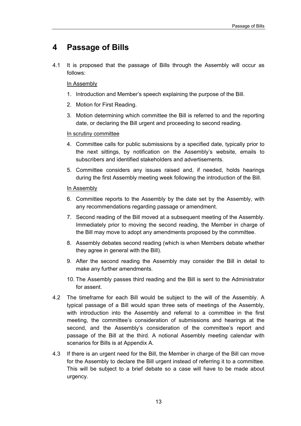#### **4 Passage of Bills**

4.1 It is proposed that the passage of Bills through the Assembly will occur as follows:

#### In Assembly

- 1. Introduction and Member's speech explaining the purpose of the Bill.
- 2. Motion for First Reading.
- 3. Motion determining which committee the Bill is referred to and the reporting date, or declaring the Bill urgent and proceeding to second reading.

#### In scrutiny committee

- 4. Committee calls for public submissions by a specified date, typically prior to the next sittings, by notification on the Assembly's website, emails to subscribers and identified stakeholders and advertisements.
- 5. Committee considers any issues raised and, if needed, holds hearings during the first Assembly meeting week following the introduction of the Bill.

#### In Assembly

- 6. Committee reports to the Assembly by the date set by the Assembly, with any recommendations regarding passage or amendment.
- 7. Second reading of the Bill moved at a subsequent meeting of the Assembly. Immediately prior to moving the second reading, the Member in charge of the Bill may move to adopt any amendments proposed by the committee.
- 8. Assembly debates second reading (which is when Members debate whether they agree in general with the Bill).
- 9. After the second reading the Assembly may consider the Bill in detail to make any further amendments.
- 10. The Assembly passes third reading and the Bill is sent to the Administrator for assent.
- 4.2 The timeframe for each Bill would be subject to the will of the Assembly. A typical passage of a Bill would span three sets of meetings of the Assembly, with introduction into the Assembly and referral to a committee in the first meeting, the committee's consideration of submissions and hearings at the second, and the Assembly's consideration of the committee's report and passage of the Bill at the third. A notional Assembly meeting calendar with scenarios for Bills is at Appendix A.
- 4.3 If there is an urgent need for the Bill, the Member in charge of the Bill can move for the Assembly to declare the Bill urgent instead of referring it to a committee. This will be subject to a brief debate so a case will have to be made about urgency.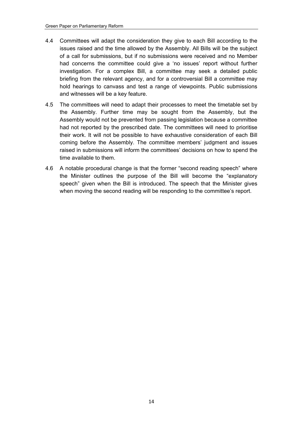- 4.4 Committees will adapt the consideration they give to each Bill according to the issues raised and the time allowed by the Assembly. All Bills will be the subject of a call for submissions, but if no submissions were received and no Member had concerns the committee could give a 'no issues' report without further investigation. For a complex Bill, a committee may seek a detailed public briefing from the relevant agency, and for a controversial Bill a committee may hold hearings to canvass and test a range of viewpoints. Public submissions and witnesses will be a key feature.
- 4.5 The committees will need to adapt their processes to meet the timetable set by the Assembly. Further time may be sought from the Assembly, but the Assembly would not be prevented from passing legislation because a committee had not reported by the prescribed date. The committees will need to prioritise their work. It will not be possible to have exhaustive consideration of each Bill coming before the Assembly. The committee members' judgment and issues raised in submissions will inform the committees' decisions on how to spend the time available to them.
- 4.6 A notable procedural change is that the former "second reading speech" where the Minister outlines the purpose of the Bill will become the "explanatory speech" given when the Bill is introduced. The speech that the Minister gives when moving the second reading will be responding to the committee's report.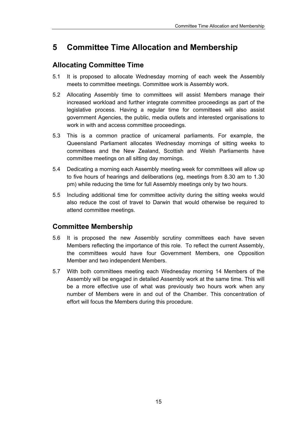### **5 Committee Time Allocation and Membership**

#### **Allocating Committee Time**

- 5.1 It is proposed to allocate Wednesday morning of each week the Assembly meets to committee meetings. Committee work is Assembly work.
- 5.2 Allocating Assembly time to committees will assist Members manage their increased workload and further integrate committee proceedings as part of the legislative process. Having a regular time for committees will also assist government Agencies, the public, media outlets and interested organisations to work in with and access committee proceedings.
- 5.3 This is a common practice of unicameral parliaments. For example, the Queensland Parliament allocates Wednesday mornings of sitting weeks to committees and the New Zealand, Scottish and Welsh Parliaments have committee meetings on all sitting day mornings.
- 5.4 Dedicating a morning each Assembly meeting week for committees will allow up to five hours of hearings and deliberations (eg, meetings from 8.30 am to 1.30 pm) while reducing the time for full Assembly meetings only by two hours.
- 5.5 Including additional time for committee activity during the sitting weeks would also reduce the cost of travel to Darwin that would otherwise be required to attend committee meetings.

#### **Committee Membership**

- 5.6 It is proposed the new Assembly scrutiny committees each have seven Members reflecting the importance of this role. To reflect the current Assembly, the committees would have four Government Members, one Opposition Member and two independent Members.
- 5.7 With both committees meeting each Wednesday morning 14 Members of the Assembly will be engaged in detailed Assembly work at the same time. This will be a more effective use of what was previously two hours work when any number of Members were in and out of the Chamber. This concentration of effort will focus the Members during this procedure.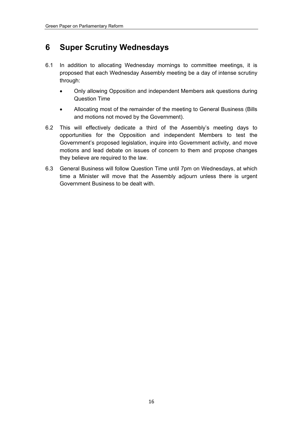### **6 Super Scrutiny Wednesdays**

- 6.1 In addition to allocating Wednesday mornings to committee meetings, it is proposed that each Wednesday Assembly meeting be a day of intense scrutiny through:
	- Only allowing Opposition and independent Members ask questions during Question Time
	- Allocating most of the remainder of the meeting to General Business (Bills and motions not moved by the Government).
- 6.2 This will effectively dedicate a third of the Assembly's meeting days to opportunities for the Opposition and independent Members to test the Government's proposed legislation, inquire into Government activity, and move motions and lead debate on issues of concern to them and propose changes they believe are required to the law.
- 6.3 General Business will follow Question Time until 7pm on Wednesdays, at which time a Minister will move that the Assembly adjourn unless there is urgent Government Business to be dealt with.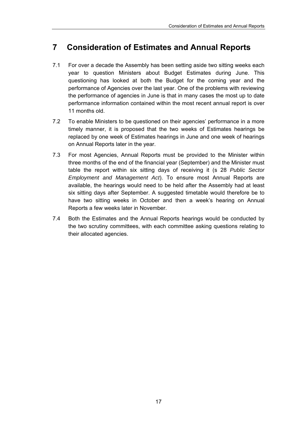### **7 Consideration of Estimates and Annual Reports**

- 7.1 For over a decade the Assembly has been setting aside two sitting weeks each year to question Ministers about Budget Estimates during June. This questioning has looked at both the Budget for the coming year and the performance of Agencies over the last year. One of the problems with reviewing the performance of agencies in June is that in many cases the most up to date performance information contained within the most recent annual report is over 11 months old.
- 7.2 To enable Ministers to be questioned on their agencies' performance in a more timely manner, it is proposed that the two weeks of Estimates hearings be replaced by one week of Estimates hearings in June and one week of hearings on Annual Reports later in the year.
- 7.3 For most Agencies, Annual Reports must be provided to the Minister within three months of the end of the financial year (September) and the Minister must table the report within six sitting days of receiving it (s 28 *Public Sector Employment and Management Act*). To ensure most Annual Reports are available, the hearings would need to be held after the Assembly had at least six sitting days after September. A suggested timetable would therefore be to have two sitting weeks in October and then a week's hearing on Annual Reports a few weeks later in November.
- 7.4 Both the Estimates and the Annual Reports hearings would be conducted by the two scrutiny committees, with each committee asking questions relating to their allocated agencies.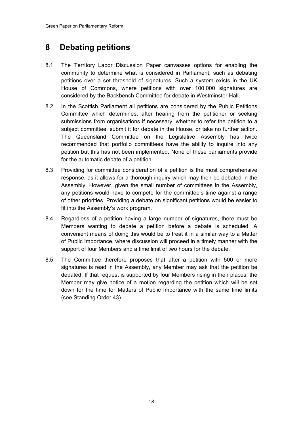### **8 Debating petitions**

- 8.1 The Territory Labor Discussion Paper canvasses options for enabling the community to determine what is considered in Parliament, such as debating petitions over a set threshold of signatures. Such a system exists in the UK House of Commons, where petitions with over 100,000 signatures are considered by the Backbench Committee for debate in Westminster Hall.
- 8.2 In the Scottish Parliament all petitions are considered by the Public Petitions Committee which determines, after hearing from the petitioner or seeking submissions from organisations if necessary, whether to refer the petition to a subject committee, submit it for debate in the House, or take no further action. The Queensland Committee on the Legislative Assembly has twice recommended that portfolio committees have the ability to inquire into any petition but this has not been implemented. None of these parliaments provide for the automatic debate of a petition.
- 8.3 Providing for committee consideration of a petition is the most comprehensive response, as it allows for a thorough inquiry which may then be debated in the Assembly. However, given the small number of committees in the Assembly, any petitions would have to compete for the committee's time against a range of other priorities. Providing a debate on significant petitions would be easier to fit into the Assembly's work program.
- 8.4 Regardless of a petition having a large number of signatures, there must be Members wanting to debate a petition before a debate is scheduled. A convenient means of doing this would be to treat it in a similar way to a Matter of Public Importance, where discussion will proceed in a timely manner with the support of four Members and a time limit of two hours for the debate.
- 8.5 The Committee therefore proposes that after a petition with 500 or more signatures is read in the Assembly, any Member may ask that the petition be debated. If that request is supported by four Members rising in their places, the Member may give notice of a motion regarding the petition which will be set down for the time for Matters of Public Importance with the same time limits (see Standing Order 43).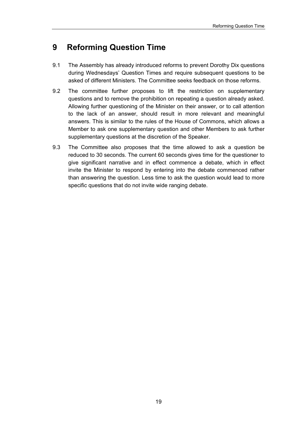### **9 Reforming Question Time**

- 9.1 The Assembly has already introduced reforms to prevent Dorothy Dix questions during Wednesdays' Question Times and require subsequent questions to be asked of different Ministers. The Committee seeks feedback on those reforms.
- 9.2 The committee further proposes to lift the restriction on supplementary questions and to remove the prohibition on repeating a question already asked. Allowing further questioning of the Minister on their answer, or to call attention to the lack of an answer, should result in more relevant and meaningful answers. This is similar to the rules of the House of Commons, which allows a Member to ask one supplementary question and other Members to ask further supplementary questions at the discretion of the Speaker.
- 9.3 The Committee also proposes that the time allowed to ask a question be reduced to 30 seconds. The current 60 seconds gives time for the questioner to give significant narrative and in effect commence a debate, which in effect invite the Minister to respond by entering into the debate commenced rather than answering the question. Less time to ask the question would lead to more specific questions that do not invite wide ranging debate.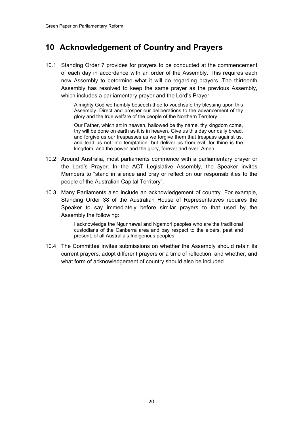### **10 Acknowledgement of Country and Prayers**

10.1 Standing Order 7 provides for prayers to be conducted at the commencement of each day in accordance with an order of the Assembly. This requires each new Assembly to determine what it will do regarding prayers. The thirteenth Assembly has resolved to keep the same prayer as the previous Assembly, which includes a parliamentary prayer and the Lord's Prayer:

> Almighty God we humbly beseech thee to vouchsafe thy blessing upon this Assembly. Direct and prosper our deliberations to the advancement of thy glory and the true welfare of the people of the Northern Territory.

> Our Father, which art in heaven, hallowed be thy name, thy kingdom come, thy will be done on earth as it is in heaven. Give us this day our daily bread, and forgive us our trespasses as we forgive them that trespass against us, and lead us not into temptation, but deliver us from evil, for thine is the kingdom, and the power and the glory, forever and ever, Amen.

- 10.2 Around Australia, most parliaments commence with a parliamentary prayer or the Lord's Prayer. In the ACT Legislative Assembly, the Speaker invites Members to "stand in silence and pray or reflect on our responsibilities to the people of the Australian Capital Territory".
- 10.3 Many Parliaments also include an acknowledgement of country. For example, Standing Order 38 of the Australian House of Representatives requires the Speaker to say immediately before similar prayers to that used by the Assembly the following:

I acknowledge the Ngunnawal and Ngambri peoples who are the traditional custodians of the Canberra area and pay respect to the elders, past and present, of all Australia's Indigenous peoples.

10.4 The Committee invites submissions on whether the Assembly should retain its current prayers, adopt different prayers or a time of reflection, and whether, and what form of acknowledgement of country should also be included.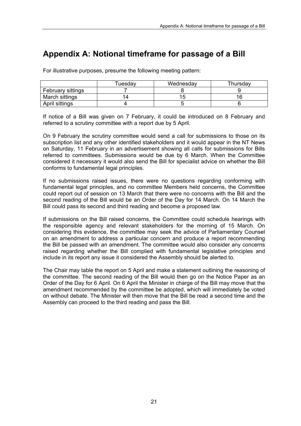### **Appendix A: Notional timeframe for passage of a Bill**

For illustrative purposes, presume the following meeting pattern:

|                   | ⊺uesday | Wednesday | Thursday |
|-------------------|---------|-----------|----------|
| February sittings |         |           |          |
| March sittings    |         |           |          |
| April sittings    |         |           |          |

If notice of a Bill was given on 7 February, it could be introduced on 8 February and referred to a scrutiny committee with a report due by 5 April.

On 9 February the scrutiny committee would send a call for submissions to those on its subscription list and any other identified stakeholders and it would appear in the NT News on Saturday, 11 February in an advertisement showing all calls for submissions for Bills referred to committees. Submissions would be due by 6 March. When the Committee considered it necessary it would also send the Bill for specialist advice on whether the Bill conforms to fundamental legal principles.

If no submissions raised issues, there were no questions regarding conforming with fundamental legal principles, and no committee Members held concerns, the Committee could report out of session on 13 March that there were no concerns with the Bill and the second reading of the Bill would be an Order of the Day for 14 March. On 14 March the Bill could pass its second and third reading and become a proposed law.

If submissions on the Bill raised concerns, the Committee could schedule hearings with the responsible agency and relevant stakeholders for the morning of 15 March. On considering this evidence, the committee may seek the advice of Parliamentary Counsel on an amendment to address a particular concern and produce a report recommending the Bill be passed with an amendment. The committee would also consider any concerns raised regarding whether the Bill complied with fundamental legislative principles and include in its report any issue it considered the Assembly should be alerted to.

The Chair may table the report on 5 April and make a statement outlining the reasoning of the committee. The second reading of the Bill would then go on the Notice Paper as an Order of the Day for 6 April. On 6 April the Minister in charge of the Bill may move that the amendment recommended by the committee be adopted, which will immediately be voted on without debate. The Minister will then move that the Bill be read a second time and the Assembly can proceed to the third reading and pass the Bill.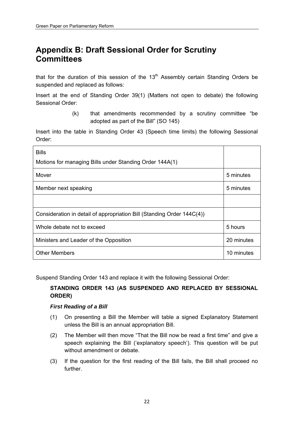### **Appendix B: Draft Sessional Order for Scrutiny Committees**

that for the duration of this session of the  $13<sup>th</sup>$  Assembly certain Standing Orders be suspended and replaced as follows:

Insert at the end of Standing Order 39(1) (Matters not open to debate) the following Sessional Order:

> (k) that amendments recommended by a scrutiny committee "be adopted as part of the Bill" (SO 145)

Insert into the table in Standing Order 43 (Speech time limits) the following Sessional Order:

| <b>Bills</b><br>Motions for managing Bills under Standing Order 144A(1) |            |
|-------------------------------------------------------------------------|------------|
| Mover                                                                   | 5 minutes  |
| Member next speaking                                                    | 5 minutes  |
|                                                                         |            |
| Consideration in detail of appropriation Bill (Standing Order 144C(4))  |            |
| Whole debate not to exceed                                              | 5 hours    |
| Ministers and Leader of the Opposition                                  | 20 minutes |
| <b>Other Members</b>                                                    | 10 minutes |

Suspend Standing Order 143 and replace it with the following Sessional Order:

#### **STANDING ORDER 143 (AS SUSPENDED AND REPLACED BY SESSIONAL ORDER)**

#### *First Reading of a Bill*

- (1) On presenting a Bill the Member will table a signed Explanatory Statement unless the Bill is an annual appropriation Bill.
- (2) The Member will then move "That the Bill now be read a first time" and give a speech explaining the Bill ('explanatory speech'). This question will be put without amendment or debate.
- (3) If the question for the first reading of the Bill fails, the Bill shall proceed no further.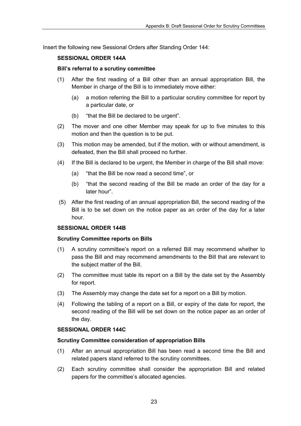Insert the following new Sessional Orders after Standing Order 144:

#### **SESSIONAL ORDER 144A**

#### **Bill's referral to a scrutiny committee**

- (1) After the first reading of a Bill other than an annual appropriation Bill, the Member in charge of the Bill is to immediately move either:
	- (a) a motion referring the Bill to a particular scrutiny committee for report by a particular date, or
	- (b) "that the Bill be declared to be urgent".
- (2) The mover and one other Member may speak for up to five minutes to this motion and then the question is to be put.
- (3) This motion may be amended, but if the motion, with or without amendment, is defeated, then the Bill shall proceed no further.
- (4) If the Bill is declared to be urgent, the Member in charge of the Bill shall move:
	- (a) "that the Bill be now read a second time", or
	- (b) "that the second reading of the Bill be made an order of the day for a later hour".
- (5) After the first reading of an annual appropriation Bill, the second reading of the Bill is to be set down on the notice paper as an order of the day for a later hour.

#### **SESSIONAL ORDER 144B**

#### **Scrutiny Committee reports on Bills**

- (1) A scrutiny committee's report on a referred Bill may recommend whether to pass the Bill and may recommend amendments to the Bill that are relevant to the subject matter of the Bill.
- (2) The committee must table its report on a Bill by the date set by the Assembly for report.
- (3) The Assembly may change the date set for a report on a Bill by motion.
- (4) Following the tabling of a report on a Bill, or expiry of the date for report, the second reading of the Bill will be set down on the notice paper as an order of the day.

#### **SESSIONAL ORDER 144C**

#### **Scrutiny Committee consideration of appropriation Bills**

- (1) After an annual appropriation Bill has been read a second time the Bill and related papers stand referred to the scrutiny committees.
- (2) Each scrutiny committee shall consider the appropriation Bill and related papers for the committee's allocated agencies.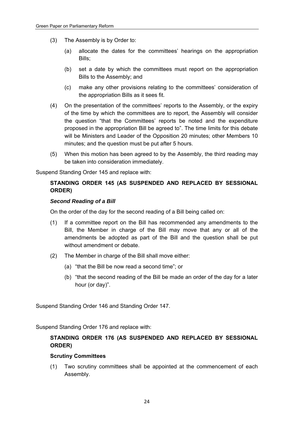- (3) The Assembly is by Order to:
	- (a) allocate the dates for the committees' hearings on the appropriation Bills;
	- (b) set a date by which the committees must report on the appropriation Bills to the Assembly; and
	- (c) make any other provisions relating to the committees' consideration of the appropriation Bills as it sees fit.
- (4) On the presentation of the committees' reports to the Assembly, or the expiry of the time by which the committees are to report, the Assembly will consider the question "that the Committees' reports be noted and the expenditure proposed in the appropriation Bill be agreed to". The time limits for this debate will be Ministers and Leader of the Opposition 20 minutes; other Members 10 minutes; and the question must be put after 5 hours.
- (5) When this motion has been agreed to by the Assembly, the third reading may be taken into consideration immediately.

Suspend Standing Order 145 and replace with:

#### **STANDING ORDER 145 (AS SUSPENDED AND REPLACED BY SESSIONAL ORDER)**

#### *Second Reading of a Bill*

On the order of the day for the second reading of a Bill being called on:

- (1) If a committee report on the Bill has recommended any amendments to the Bill, the Member in charge of the Bill may move that any or all of the amendments be adopted as part of the Bill and the question shall be put without amendment or debate.
- (2) The Member in charge of the Bill shall move either:
	- (a) "that the Bill be now read a second time"; or
	- (b) "that the second reading of the Bill be made an order of the day for a later hour (or day)".

Suspend Standing Order 146 and Standing Order 147.

Suspend Standing Order 176 and replace with:

#### **STANDING ORDER 176 (AS SUSPENDED AND REPLACED BY SESSIONAL ORDER)**

#### **Scrutiny Committees**

(1) Two scrutiny committees shall be appointed at the commencement of each Assembly.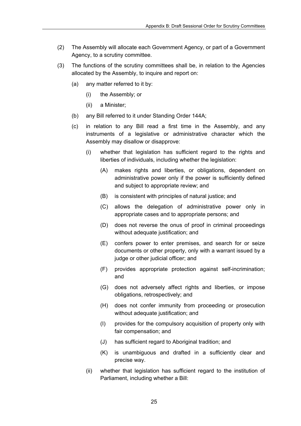- (2) The Assembly will allocate each Government Agency, or part of a Government Agency, to a scrutiny committee.
- (3) The functions of the scrutiny committees shall be, in relation to the Agencies allocated by the Assembly, to inquire and report on:
	- (a) any matter referred to it by:
		- (i) the Assembly; or
		- (ii) a Minister;
	- (b) any Bill referred to it under Standing Order 144A;
	- (c) in relation to any Bill read a first time in the Assembly, and any instruments of a legislative or administrative character which the Assembly may disallow or disapprove:
		- (i) whether that legislation has sufficient regard to the rights and liberties of individuals, including whether the legislation:
			- (A) makes rights and liberties, or obligations, dependent on administrative power only if the power is sufficiently defined and subject to appropriate review; and
			- (B) is consistent with principles of natural justice; and
			- (C) allows the delegation of administrative power only in appropriate cases and to appropriate persons; and
			- (D) does not reverse the onus of proof in criminal proceedings without adequate justification; and
			- (E) confers power to enter premises, and search for or seize documents or other property, only with a warrant issued by a judge or other judicial officer; and
			- (F) provides appropriate protection against self-incrimination; and
			- (G) does not adversely affect rights and liberties, or impose obligations, retrospectively; and
			- (H) does not confer immunity from proceeding or prosecution without adequate justification; and
			- (I) provides for the compulsory acquisition of property only with fair compensation; and
			- (J) has sufficient regard to Aboriginal tradition; and
			- (K) is unambiguous and drafted in a sufficiently clear and precise way.
		- (ii) whether that legislation has sufficient regard to the institution of Parliament, including whether a Bill: